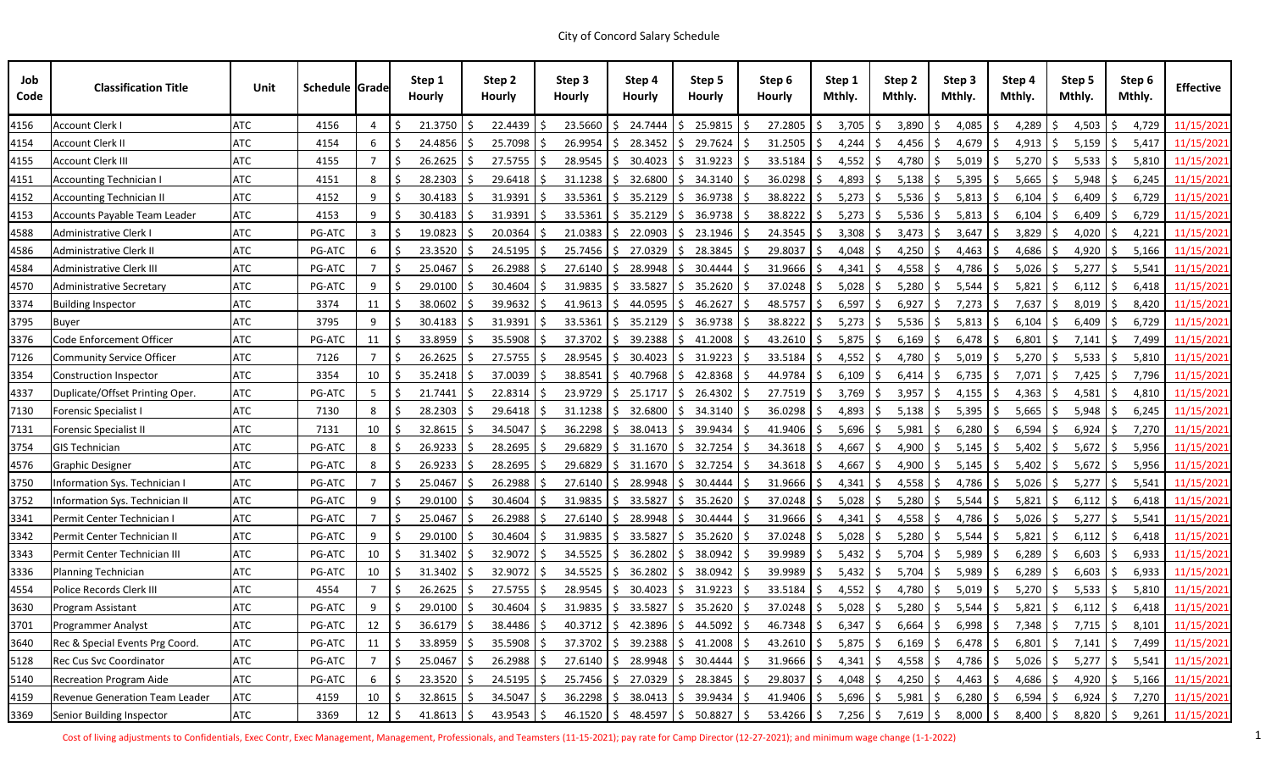| Job<br>Code | <b>Classification Title</b>      | Unit       | <b>Schedule Grade</b> |             | Step 1<br><b>Hourly</b> | Step 2<br><b>Hourly</b>     | Step 3<br><b>Hourly</b> | Step 4<br><b>Hourly</b> | Step 5<br><b>Hourly</b>                                                | Step 6<br><b>Hourly</b>                                                                                                                                                  | Step 1<br>Mthly.     | Mthly. | Step 2       | Step 3<br>Mthly. |     | Step 4<br>Mthly. |    | Step 5<br>Mthly.    | Step 6<br>Mthly. | <b>Effective</b> |
|-------------|----------------------------------|------------|-----------------------|-------------|-------------------------|-----------------------------|-------------------------|-------------------------|------------------------------------------------------------------------|--------------------------------------------------------------------------------------------------------------------------------------------------------------------------|----------------------|--------|--------------|------------------|-----|------------------|----|---------------------|------------------|------------------|
| 4156        | <b>Account Clerk I</b>           | <b>ATC</b> | 4156                  | 4           | 21.3750                 | 22.4439                     | 23.5660                 | 24.7444                 | 25.9815                                                                | 27.2805                                                                                                                                                                  | 3,705                |        | 3,890        | 4,085            |     | 4,289            |    | 4,503               | 4,729            | 11/15/2021       |
| 4154        | <b>Account Clerk II</b>          | <b>ATC</b> | 4154                  | 6           | 24.4856                 | 25.7098                     | 26.9954                 | 28.3452                 | 29.7624                                                                | 31.2505                                                                                                                                                                  | 4,244                |        | 4,456        | 4,679            |     | 4,913            |    | 5,159               | 5,417            | 11/15/2021       |
| 4155        | <b>Account Clerk III</b>         | <b>ATC</b> | 4155                  |             | 26.2625                 | 27.5755                     | 28.9545                 | 30.4023<br>S.           | 31.9223<br>S.                                                          | 33.5184                                                                                                                                                                  | 4,552                |        | 4,780        | 5,019            |     | 5,270            |    | 5,533               | 5,810            | 11/15/2021       |
| 4151        | <b>Accounting Technician I</b>   | ATC        | 4151                  | 8           | 28.2303                 | 29.6418                     | 31.1238                 | 32.6800                 | S.<br>34.3140                                                          | 36.0298                                                                                                                                                                  | 4,893                |        | 5,138        | 5,395            |     | 5,665            |    | 5,948               | 6,245            | 11/15/2021       |
| 4152        | <b>Accounting Technician II</b>  | <b>ATC</b> | 4152                  | 9           | 30.4183                 | 31.9391                     | 33.5361                 | 35.2129                 | 36.9738                                                                | $38.8222$ \$                                                                                                                                                             | 5,273                | S.     | 5,536        | 5,813            |     | 6,104            |    | 6,409               | 6,729            | 11/15/2021       |
| 4153        | Accounts Payable Team Leader     | <b>ATC</b> | 4153                  | 9           | 30.4183                 | 31.9391                     | 33.5361                 | 35.2129                 | 36.9738<br>S.                                                          | 38.8222                                                                                                                                                                  | 5,273                | S.     | 5,536        | 5,813            |     | 6,104            |    | 6,409               | 6,729            | 11/15/2021       |
| 4588        | Administrative Clerk I           | <b>ATC</b> | PG-ATC                | 3           | 19.0823                 | 20.0364                     | 21.0383                 | 22.0903<br>S.           | S.<br>23.1946                                                          | 24.3545                                                                                                                                                                  | 3,308                |        | 3,473        | 3,647<br>-S      |     | 3,829            |    | 4,020               | 4,221            | 11/15/2021       |
| 4586        | Administrative Clerk II          | <b>ATC</b> | <b>PG-ATC</b>         | 6           | 23.3520                 | 24.5195                     | 25.7456                 | 27.0329                 | 28.3845                                                                | 29.8037                                                                                                                                                                  | 4,048                |        | 4,250        | 4,463            |     | 4,686            |    | 4,920               | 5,166            | 11/15/2021       |
| 4584        | <b>Administrative Clerk III</b>  | ATC        | <b>PG-ATC</b>         |             | 25.0467                 | 26.2988                     | 27.6140                 | 28.9948                 | S.<br>30.4444                                                          | 31.9666                                                                                                                                                                  | 4,341                |        | 4,558        | 4,786            |     | 5,026            |    | 5,277               | 5,541<br>S       | 11/15/2021       |
| 4570        | Administrative Secretary         | <b>ATC</b> | <b>PG-ATC</b>         | 9           | 29.0100                 | 30.4604                     | 31.9835                 | 33.5827                 | 35.2620<br>S.                                                          | 37.0248                                                                                                                                                                  | 5,028                |        | 5,280        | 5,544            |     | 5,821            |    | 6,112               | 6,418            | 11/15/2021       |
| 3374        | <b>Building Inspector</b>        | ATC        | 3374                  | 11          | 38.0602                 | 39.9632                     | 41.9613                 | 44.0595<br>S.           | 46.2627<br>S.                                                          | 48.5757                                                                                                                                                                  | 6,597                |        | 6,927        | 7,273            |     | 7,637            |    | 8,019               | 8,420            | 11/15/2021       |
| 3795        | <b>Buyer</b>                     | ATC        | 3795                  | 9           | 30.4183                 | 31.9391                     | 33.5361                 | 35.2129                 | 36.9738<br><sup>S</sup>                                                | 38.8222                                                                                                                                                                  | 5,273                |        | 5,536        | 5,813            |     | 6,104            |    | 6,409               | 6,729            | 11/15/2021       |
| 3376        | Code Enforcement Officer         | <b>ATC</b> | <b>PG-ATC</b>         | 11          | 33.8959                 | 35.5908                     | 37.3702                 | 39.2388                 | S.<br>41.2008                                                          | $43.2610$ \$                                                                                                                                                             | 5,875                | S.     | 6,169        | 6,478            |     | 6,801            |    | 7,141               | 7,499<br>S       | 11/15/2021       |
| 7126        | <b>Community Service Officer</b> | <b>ATC</b> | 7126                  | 7           | 26.2625                 | 27.5755                     | 28.9545                 | 30.4023                 | 31.9223<br>S.                                                          | 33.5184                                                                                                                                                                  | 4,552                |        | 4,780        | 5,019            |     | 5,270            |    | 5,533               | 5,810            | 11/15/2021       |
| 3354        | <b>Construction Inspector</b>    | ATC        | 3354                  | 10          | 35.2418                 | 37.0039                     | 38.8541                 | 40.7968                 | 42.8368<br><sup>S</sup>                                                | 44.9784                                                                                                                                                                  | 6,109                |        | 6,414        | 6,735            | -S  | 7,071            |    | 7,425               | 7,796            | 11/15/2021       |
| 4337        | Duplicate/Offset Printing Oper.  | <b>ATC</b> | <b>PG-ATC</b>         | 5           | 21.7441                 | 22.8314                     | 23.9729                 | 25.1717<br>S.           | 26.4302<br>S.                                                          | $27.7519$ \$                                                                                                                                                             | 3,769                |        | 3,957        | 4,155            | -S  | 4,363            |    | 4,581               | 4,810            | 11/15/2021       |
| 7130        | <b>Forensic Specialist I</b>     | <b>ATC</b> | 7130                  | 8           | 28.2303                 | 29.6418                     | 31.1238                 | 32.6800                 | 34.3140<br>S.                                                          | 36.0298                                                                                                                                                                  | 4,893                |        | 5,138        | 5,395            |     | 5,665            |    | 5,948               | 6,245            | 11/15/2021       |
| 7131        | <b>Forensic Specialist II</b>    | <b>ATC</b> | 7131                  | 10          | 32.8615                 | 34.5047                     | 36.2298                 | 38.0413                 | 39.9434<br>S.                                                          | 41.9406                                                                                                                                                                  | 5,696                | S.     | 5,981        | 6,280            | -S  | 6,594            |    | 6,924               | 7,270            | 11/15/2021       |
| 3754        | <b>GIS Technician</b>            | <b>ATC</b> | PG-ATC                | 8           | 26.9233                 | 28.2695                     | 29.6829                 | 31.1670<br>S.           | 32.7254<br>S.                                                          | 34.3618                                                                                                                                                                  | 4,667                |        | 4,900        | 5,145            |     | 5,402            |    | 5,672               | 5,956            | 11/15/2021       |
| 4576        | Graphic Designer                 | ATC        | PG-ATC                | 8           | 26.9233                 | 28.2695                     | 29.6829                 | 31.1670                 | S.<br>32.7254                                                          | 34.3618                                                                                                                                                                  | 4,667                |        | 4,900        | 5,145            |     | 5,402            |    | 5,672               | 5,956            | 11/15/2021       |
| 3750        | Information Sys. Technician I    | <b>ATC</b> | <b>PG-ATC</b>         |             | 25.0467                 | 26.2988                     | 27.6140                 | 28.9948                 | 30.4444                                                                | 31.9666                                                                                                                                                                  | 4,341                | -S     | 4,558        | 4,786            | -S  | 5,026            |    | 5,277               | 5,541<br>S       | 11/15/2021       |
| 3752        | Information Sys. Technician II   | <b>ATC</b> | PG-ATC                | 9           | 29.0100                 | 30.4604                     | 31.9835                 | 33.5827                 | 35.2620<br>S.                                                          | 37.0248                                                                                                                                                                  | 5,028                |        | 5,280        | 5,544            |     | 5,821            |    | 6,112               | 6,418            | 11/15/2021       |
| 3341        | Permit Center Technician I       | <b>ATC</b> | PG-ATC                |             | 25.0467                 | 26.2988                     | 27.6140                 | 28.9948                 | 30.4444<br>S.                                                          | 31.9666                                                                                                                                                                  | 4,341                |        | 4,558        | 4,786            |     | 5,026            |    | 5,277               | 5,541            | 11/15/2021       |
| 3342        | Permit Center Technician II      | ATC        | <b>PG-ATC</b>         | 9           | 29.0100                 | 30.4604                     | 31.9835                 | 33.5827                 | 35.2620<br>S.                                                          | 37.0248                                                                                                                                                                  | 5,028                | S.     | 5,280        | 5,544            |     | 5,821            |    | 6,112               | 6,418            | 11/15/2021       |
| 3343        | Permit Center Technician III     | <b>ATC</b> | PG-ATC                | 10          | 31.3402                 | 32.9072                     | 34.5525                 | 36.2802                 | 38.0942<br>S.                                                          | 39.9989                                                                                                                                                                  | 5,432                | -S     | 5,704        | 5,989            |     | 6,289            |    | 6,603               | 6,933            | 11/15/2021       |
| 3336        | Planning Technician              | <b>ATC</b> | PG-ATC                | $10 \mid 5$ |                         | $31.3402$   \$ 32.9072   \$ |                         |                         |                                                                        | $34.5525$ $\binom{5}{5}$ $36.2802$ $\binom{5}{5}$ $38.0942$ $\binom{5}{5}$ $39.9989$ $\binom{5}{5}$ $5,432$ $\binom{5}{5}$ $5,704$ $\binom{5}{5}$ $5,989$ $\binom{5}{5}$ |                      |        |              |                  |     |                  |    | $6,289$ \$ 6,603 \$ |                  | 6,933 11/15/2021 |
| 4554        | Police Records Clerk III         | ATC        | 4554                  |             | -Ś<br>$26.2625$ \$      | 27.5755                     | S                       |                         | $28.9545$ $\binom{2}{5}$ 30.4023 $\binom{5}{5}$ 31.9223 $\binom{5}{5}$ | $33.5184$ \$                                                                                                                                                             | $4,552$ \$           |        | 4,780 \$     | $5,019$ \$       |     | 5,270            | -S | 5,533               | 5,810<br>S.      | 11/15/2021       |
| 3630        | Program Assistant                | <b>ATC</b> | PG-ATC                | 9           | $29.0100$   \$          | 30.4604                     | S.                      |                         | $31.9835$ $\binom{5}{5}$ 33.5827 $\binom{5}{5}$ 35.2620 $\binom{5}{5}$ | $37.0248$ \$                                                                                                                                                             | $5,028$   \$         |        | $5,280$   \$ | $5,544$   \$     |     | $5,821$ \$       |    | 6,112               | S.               | 6,418 11/15/2021 |
| 3701        | <b>Programmer Analyst</b>        | <b>ATC</b> | PG-ATC                | 12          | $36.6179$ \$            | 38.4486                     | S                       |                         | $40.3712$   \$ 42.3896   \$ 44.5092   \$                               | $46.7348$ \$                                                                                                                                                             | $6,347$ \$           |        | $6,664$ \$   | $6,998$ \$       |     | $7,348$ \$       |    | 7,715               | 8,101<br>-S      | 11/15/2021       |
| 3640        | Rec & Special Events Prg Coord.  | <b>ATC</b> | PG-ATC                | 11          | $33.8959$ \$            | 35.5908                     | $37.3702 \mid \xi$<br>S |                         | $39.2388$   \$ 41.2008   \$                                            | $43.2610$ \$                                                                                                                                                             | $5,875$ \$           |        | $6,169$ \$   | $6,478$ \$       |     | 6,801            | S. | 7,141               | \$.<br>7,499     | 11/15/2021       |
| 5128        | Rec Cus Svc Coordinator          | <b>ATC</b> | PG-ATC                | $7^{\circ}$ | $25.0467$ \$            | 26.2988                     |                         |                         | $27.6140$   \$ 28.9948   \$ 30.4444   \$                               | $31.9666$ \$                                                                                                                                                             | $4,341$ \$           |        | $4,558$ \$   | $4,786$ \$       |     | 5,026            |    | 5,277               | 5,541<br>S.      | 11/15/2021       |
| 5140        | <b>Recreation Program Aide</b>   | <b>ATC</b> | PG-ATC                | 6           | $23.3520$ \$            | 24.5195                     | S.                      |                         | $25.7456$ $\binom{6}{5}$ 27.0329 $\binom{6}{5}$ 28.3845 $\binom{6}{5}$ | 29.8037 \$                                                                                                                                                               | $4,048$ \$           |        | $4,250$ \$   | $4,463$ \$       |     | $4,686$ \$       |    | 4,920               | \$.              | 5,166 11/15/2021 |
| 4159        | Revenue Generation Team Leader   | <b>ATC</b> | 4159                  | 10          | $32.8615$ \$            | 34.5047                     | $36.2298$ \$            | $38.0413$ \$            | 39.9434 \$                                                             | $41.9406$ \$                                                                                                                                                             | $5,696$ \$           |        | $5,981$ \$   | 6,280            | I S | $6,594$ \$       |    | 6,924               | 7,270<br>S.      | 11/15/2021       |
| 3369        | Senior Building Inspector        | <b>ATC</b> | 3369                  | 12          | -Ś<br>$41.8613$ \$      | 43.9543                     | S.                      |                         | $46.1520$   \$ $48.4597$   \$ $50.8827$   \$                           | $53.4266$ \$                                                                                                                                                             | 7,256   \$7,619   \$ |        |              | 8,000 \$         |     | 8,400   \$       |    | 8,820   \$          | 9,261            | 11/15/2021       |

Cost of living adjustments to Confidentials, Exec Contr, Exec Management, Management, Professionals, and Teamsters (11-15-2021); pay rate for Camp Director (12-27-2021); and minimum wage change (1-1-2022) 2022) 1.1-2022 1.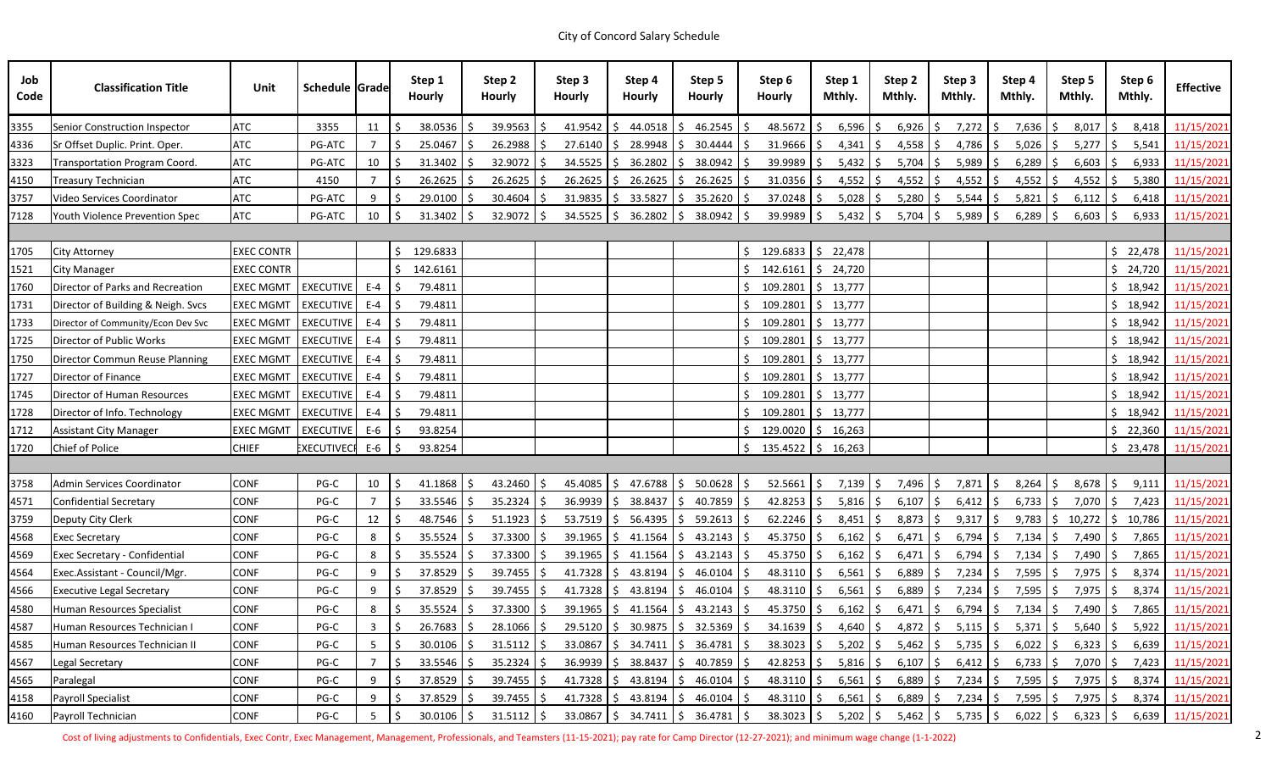| Job<br>Code | <b>Classification Title</b>          | Unit              | Schedule Grade     |                |    | Step 1<br><b>Hourly</b> |              | Step 2<br><b>Hourly</b> |    | Step 3<br><b>Hourly</b>         | Step 4<br><b>Hourly</b> |         | Step 5<br><b>Hourly</b>                                     |    | Step 6<br><b>Hourly</b>                     | Step 1<br>Mthly. |            | Step 2<br>Mthly.      | Step 3<br>Mthly.      |    | Step 4<br>Mthly.      |               | Step 5<br>Mthly. | Step 6<br>Mthly.      | <b>Effective</b> |
|-------------|--------------------------------------|-------------------|--------------------|----------------|----|-------------------------|--------------|-------------------------|----|---------------------------------|-------------------------|---------|-------------------------------------------------------------|----|---------------------------------------------|------------------|------------|-----------------------|-----------------------|----|-----------------------|---------------|------------------|-----------------------|------------------|
| 3355        | Senior Construction Inspector        | <b>ATC</b>        | 3355               | 11             |    | 38.0536                 |              | 39.9563                 |    | 41.9542                         | IS.                     | 44.0518 | 46.2545<br>S.                                               |    | $48.5672$ \$                                | 6,596            | -S         | 6,926                 | 7,272<br>l S          | S. | 7,636                 |               | 8,017            | 8,418                 | 11/15/2021       |
| 4336        | Sr Offset Duplic. Print. Oper.       | <b>ATC</b>        | PG-ATC             |                |    | 25.0467                 |              | 26.2988                 |    | 27.6140                         |                         | 28.9948 | 30.4444<br>S.                                               |    | 31.9666                                     | 4,341<br>S.      | S.         | $4,558$ \$            | 4,786                 | -S | 5,026                 |               | 5,277            | 5,541<br>S            | 11/15/2021       |
| 3323        | Transportation Program Coord.        | <b>ATC</b>        | PG-ATC             | 10             |    | 31.3402                 | <sub>S</sub> | 32.9072                 |    | 34.5525                         | S.                      | 36.2802 | 38.0942<br>S.                                               | S  | 39.9989 \$                                  | 5,432            | S.         | 5,704                 | 5,989                 | -S | 6,289                 |               | 6,603            | 6,933<br>S.           | 11/15/2021       |
| 4150        | <b>Treasury Technician</b>           | <b>ATC</b>        | 4150               |                |    | 26.2625                 |              | 26.2625                 |    | 26.2625                         |                         | 26.2625 | 26.2625<br>S.                                               |    | 31.0356                                     | 4,552            | -S         | $4,552$ \$            | 4,552                 |    | 4,552                 |               | 4,552            | 5,380                 | 11/15/2021       |
| 3757        | Video Services Coordinator           | <b>ATC</b>        | PG-ATC             | 9              |    | 29.0100                 |              | 30.4604                 |    | 31.9835                         | S.                      | 33.5827 | 35.2620<br>S.                                               |    | $37.0248$ \$                                | 5,028            | S.         | 5,280                 | 5,544<br>-S           | -S | 5,821                 |               | 6,112            | 6,418<br>S            | 11/15/2021       |
| 7128        | Youth Violence Prevention Spec       | <b>ATC</b>        | PG-ATC             | 10             |    | 31.3402                 |              | 32.9072                 |    | $34.5525$ $\frac{2}{5}$ 36.2802 |                         |         | \$38.0942                                                   | S. | $39.9989$ \$                                | 5,432            | S.         | 5,704                 | 5,989<br>l S          |    | 6,289                 |               | 6,603            | 6,933<br>\$.          | 11/15/2021       |
|             |                                      |                   |                    |                |    |                         |              |                         |    |                                 |                         |         |                                                             |    |                                             |                  |            |                       |                       |    |                       |               |                  |                       |                  |
| 1705        | <b>City Attorney</b>                 | <b>EXEC CONTR</b> |                    |                | Ŝ. | 129.6833                |              |                         |    |                                 |                         |         |                                                             |    | $\frac{1}{2}$ 129.6833 $\frac{1}{2}$ 22,478 |                  |            |                       |                       |    |                       |               |                  | \$22,478              | 11/15/2021       |
| 1521        | <b>City Manager</b>                  | <b>EXEC CONTR</b> |                    |                |    | 142.6161                |              |                         |    |                                 |                         |         |                                                             |    | $$142.6161 \mid $24,720$                    |                  |            |                       |                       |    |                       |               |                  | \$24,720              | 11/15/2021       |
| 1760        | Director of Parks and Recreation     | <b>EXEC MGMT</b>  | <b>EXECUTIVE</b>   | E-4            |    | 79.4811                 |              |                         |    |                                 |                         |         |                                                             |    | $109.2801 \mid \xi$ 13,777                  |                  |            |                       |                       |    |                       |               |                  | 18,942<br>S.          | 11/15/2021       |
| 1731        | Director of Building & Neigh. Svcs   | <b>EXEC MGMT</b>  | <b>EXECUTIVE</b>   | $E-4$          |    | 79.4811                 |              |                         |    |                                 |                         |         |                                                             |    | $$109.2801 \  $13,777$                      |                  |            |                       |                       |    |                       |               |                  | \$18,942              | 11/15/2021       |
| 1733        | Director of Community/Econ Dev Svc   | <b>EXEC MGMT</b>  | <b>EXECUTIVE</b>   | $E-4$          |    | 79.4811                 |              |                         |    |                                 |                         |         |                                                             |    | $109.2801 \mid \xi$ 13,777                  |                  |            |                       |                       |    |                       |               |                  | \$18,942              | 11/15/2021       |
| 1725        | Director of Public Works             | <b>EXEC MGMT</b>  | <b>EXECUTIVE</b>   | $E-4$          |    | 79.4811                 |              |                         |    |                                 |                         |         |                                                             |    | $109.2801 \mid \xi$ 13,777                  |                  |            |                       |                       |    |                       |               |                  | \$18,942              | 11/15/2021       |
| 1750        | Director Commun Reuse Planning       | <b>EXEC MGMT</b>  | <b>EXECUTIVE</b>   | $E-4$          |    | 79.4811                 |              |                         |    |                                 |                         |         |                                                             |    | $$109.2801 \  $13,777$                      |                  |            |                       |                       |    |                       |               |                  | \$18,942              | 11/15/2021       |
| 1727        | Director of Finance                  | <b>EXEC MGMT</b>  | <b>EXECUTIVE</b>   | E-4            |    | 79.4811                 |              |                         |    |                                 |                         |         |                                                             |    | $$109.2801 \  $13,777$                      |                  |            |                       |                       |    |                       |               |                  | \$18,942              | 11/15/2021       |
| 1745        | Director of Human Resources          | <b>EXEC MGMT</b>  | <b>EXECUTIVE</b>   | $E-4$          |    | 79.4811                 |              |                         |    |                                 |                         |         |                                                             |    | $109.2801 \mid \xi$ 13,777                  |                  |            |                       |                       |    |                       |               |                  | 18,942<br>S.          | 11/15/2021       |
| 1728        | Director of Info. Technology         | <b>EXEC MGMT</b>  | <b>EXECUTIVE</b>   | $E-4$          |    | 79.4811                 |              |                         |    |                                 |                         |         |                                                             |    | $109.2801 \mid \xi$ 13,777                  |                  |            |                       |                       |    |                       |               |                  | \$18,942              | 11/15/2021       |
| 1712        | <b>Assistant City Manager</b>        | <b>EXEC MGMT</b>  | <b>EXECUTIVE</b>   | $E-6$          |    | 93.8254                 |              |                         |    |                                 |                         |         |                                                             |    | $129.0020$ \$ 16,263                        |                  |            |                       |                       |    |                       |               |                  | 22,360<br>S.          | 11/15/2021       |
| 1720        | Chief of Police                      | <b>CHIEF</b>      | <b>EXECUTIVECI</b> | $E-6$          | -Ś | 93.8254                 |              |                         |    |                                 |                         |         |                                                             |    | $$135.4522 \mid $16,263$                    |                  |            |                       |                       |    |                       |               |                  | \$23,478              | 11/15/2021       |
|             |                                      |                   |                    |                |    |                         |              |                         |    |                                 |                         |         |                                                             |    |                                             |                  |            |                       |                       |    |                       |               |                  |                       |                  |
| 3758        | Admin Services Coordinator           | <b>CONF</b>       | PG-C               | 10             | -Ś | 41.1868                 | -\$          | 43.2460                 | -S | 45.4085 \$47.6788               |                         |         | \$50.0628                                                   | Ŝ. | $52.5661$ \$                                |                  | 7,139   \$ | 7,496   \$            | 7,871 \$              |    | $8,264$ \$            |               | 8,678            | $\mathsf{S}$<br>9,111 | 11/15/2021       |
| 4571        | <b>Confidential Secretary</b>        | <b>CONF</b>       | PG-C               | $\overline{7}$ |    | 33.5546                 |              | 35.2324                 |    | 36.9939                         | S.                      | 38.8437 | 40.7859<br>S.                                               |    | $42.8253$ \$                                | 5,816            | S.         | 6,107                 | 6,412                 |    | 6,733                 | S.            | 7,070            | 7,423<br>S            | 11/15/2021       |
| 3759        | Deputy City Clerk                    | <b>CONF</b>       | PG-C               | 12             |    | 48.7546                 |              | 51.1923                 |    | $53.7519$ \$                    |                         | 56.4395 | \$59.2613                                                   |    | $62.2246$ \$                                | 8,451            | -S         | $8,873$ \$            | 9,317                 | -S | 9,783                 | $\frac{1}{2}$ | 10,272           | \$10,786              | 11/15/2021       |
| 4568        | <b>Exec Secretary</b>                | <b>CONF</b>       | PG-C               | 8              |    | 35.5524                 |              | 37.3300                 |    | 39.1965                         | IS.                     | 41.1564 | 43.2143<br>S.                                               |    | $45.3750$ \$                                | 6,162            | -S         | $6,471$ \$            | $6,794$ \$            |    | 7,134                 | -S            | 7,490            | 7,865<br>S.           | 11/15/2021       |
| 4569        | <b>Exec Secretary - Confidential</b> | <b>CONF</b>       | $PG-C$             | 8              |    | 35.5524                 |              | 37.3300                 |    | $39.1965$ \$ 41.1564            |                         |         | \$43.2143                                                   | S  | $45.3750$ \$                                | 6,162            | -\$        | $6,471$ \$            | $6,794$ \$            |    | $7,134$ \$            |               | 7,490            | 7,865<br>\$.          | 11/15/2021       |
| 4564        | Exec.Assistant - Council/Mgr.        | CONF              | PG-C               | 9              |    | $37.8529$ \$            |              | $39.7455$ \$            |    |                                 |                         |         | $41.7328$ \$ 43.8194 \$ 46.0104 \$                          |    | $48.3110$ \$                                |                  | $6,561$ \$ | $6,889$ \$            | $7,234$ \$            |    | $7,595$ \$            |               | $7,975$ \$       |                       | 8,374 11/15/2021 |
| 4566        | <b>Executive Legal Secretary</b>     | CONF              | PG-C               | 9              | -Ś | 37.8529                 | S.           | $39.7455$ \$            |    |                                 |                         |         | $41.7328$   \$ 43.8194   \$ 46.0104   \$                    |    | $48.3110 \,$ \$                             |                  | $6,561$ \$ | $6,889$ $\frac{2}{3}$ | $7,234$ \$            |    | 7,595   \$            |               | 7,975 \$         | 8,374                 | 11/15/2021       |
| 4580        | Human Resources Specialist           | CONF              | PG-C               | 8              |    | 35.5524                 |              | $37.3300 \, \text{S}$   |    |                                 |                         |         | $39.1965$   \$ 41.1564   \$ 43.2143                         | S. | $45.3750$ \$                                |                  | $6,162$ \$ | $6,471$ \$            | $6,794$ \$            |    | $7,134$ \$            |               | 7,490   \$       | 7,865                 | 11/15/2021       |
| 4587        | Human Resources Technician I         | CONF              | PG-C               | $\mathbf{3}$   |    | $26.7683$   \$          |              | $28.1066$ \$            |    |                                 |                         |         | 29.5120   \$ 30.9875   \$ 32.5369                           | S. | $34.1639$ \$                                |                  | 4,640   \$ | $4,872$ \$            | $5,115$ \$            |    | $5,371$ $\frac{1}{2}$ |               | $5,640$ \$       | 5,922                 | 11/15/2021       |
| 4585        | Human Resources Technician II        | CONF              | PG-C               | 5 <sub>1</sub> |    | 30.0106                 |              | $31.5112$ \$            |    |                                 |                         |         | $33.0867$ $\binom{5}{7}$ $34.7411$ $\binom{6}{7}$ $36.4781$ | S  | $38.3023$ \$                                |                  | $5,202$ \$ | $5,462$ \$            | $5,735$ \$            |    | 6,022                 | \$            | 6,323            | 6,639<br>S.           | 11/15/2021       |
| 4567        | Legal Secretary                      | <b>CONF</b>       | PG-C               | $\overline{7}$ |    | 33.5546                 |              | $35.2324$ \$            |    |                                 |                         |         | $36.9939$   \$ 38.8437   \$ 40.7859                         | S  | $42.8253$ \$                                |                  | $5,816$ \$ | $6,107$ \$            | $6,412$ \$            |    | $6,733$ \$            |               | 7,070            | 7,423<br>S.           | 11/15/2021       |
| 4565        | Paralegal                            | <b>CONF</b>       | PG-C               | 9              |    | 37.8529                 |              | $39.7455$ \$            |    |                                 |                         |         | $41.7328$   \$ 43.8194   \$ 46.0104                         | S  | $48.3110$ \$                                |                  | $6,561$ \$ | $6,889$ \$            | $7,234$ \$            |    | $7,595$ \$            |               | 7,975            | 8,374<br>Ş.           | 11/15/2021       |
| 4158        | <b>Payroll Specialist</b>            | <b>CONF</b>       | PG-C               | 9              |    | 37.8529                 |              | $39.7455$   \$          |    |                                 |                         |         | $41.7328$   \$ 43.8194   \$ 46.0104                         | S  | $48.3110$ \$                                | 6,561            | -S         | $6,889$ $\frac{1}{2}$ | $7,234$ \$            |    | 7,595 \$              |               | 7,975            | 8,374<br>-Ş           | 11/15/2021       |
| 4160        | Payroll Technician                   | CONF              | $PG-C$             | 5 <sub>1</sub> | -Ś | 30.0106                 |              | $31.5112$ \$            |    |                                 |                         |         | $33.0867$ $\binom{5}{7}$ 34.7411 $\binom{6}{7}$ 36.4781     | S. | $38.3023$ \$                                |                  | $5,202$ \$ | $5,462$ \$            | $5,735$ $\frac{1}{5}$ |    | $6,022$ \$            |               | $6,323$ \$       | 6,639                 | 11/15/2021       |

Cost of living adjustments to Confidentials, Exec Contr, Exec Management, Management, Professionals, and Teamsters (11-15-2021); pay rate for Camp Director (12-27-2021); and minimum wage change (1-1-2022) 2022)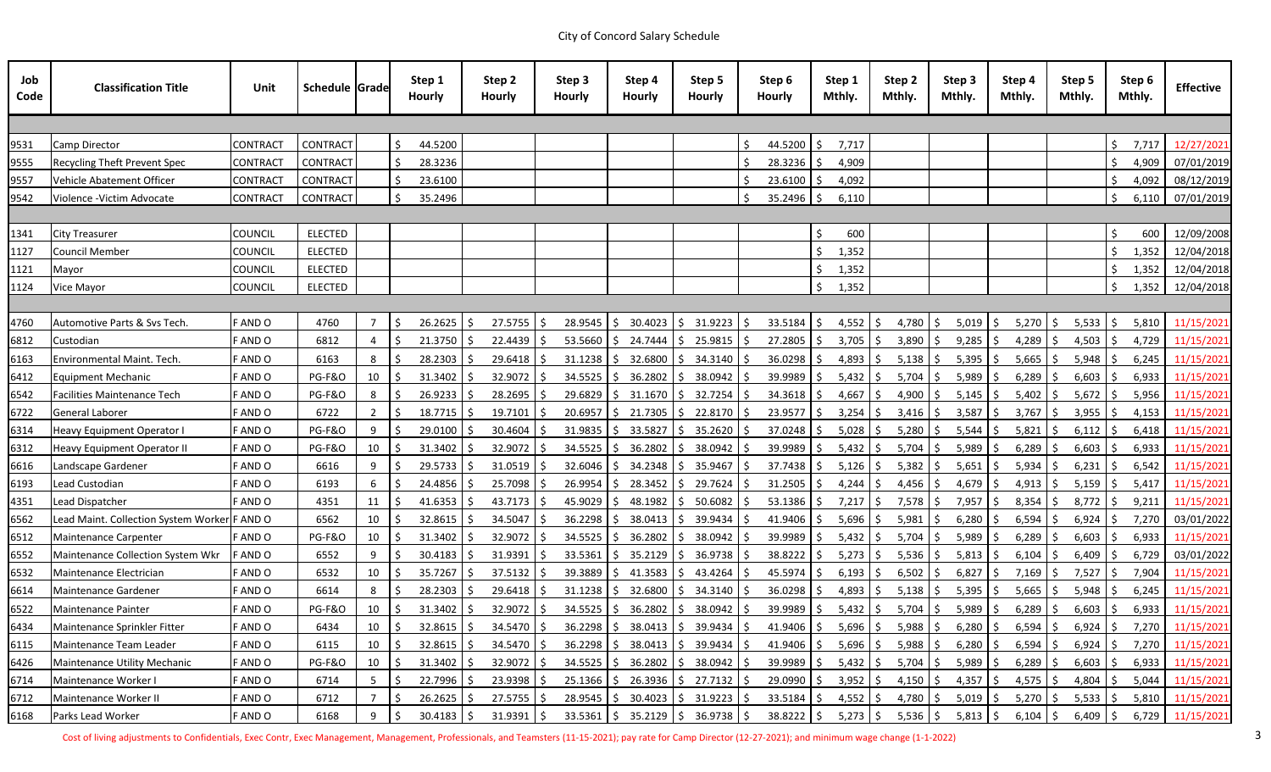| Job<br>Code | <b>Classification Title</b>                  | Unit            | <b>Schedule Grade</b> |               | Step 1<br><b>Hourly</b> | Step 2<br><b>Hourly</b> | Step 3<br><b>Hourly</b>                                                                                    | Step 4<br><b>Hourly</b>                  | Step 5<br><b>Hourly</b>                           | Step 6<br><b>Hourly</b> | Step 1<br>Mthly. | Step 2<br>Mthly.                   | Step 3<br>Mthly. | Step 4<br>Mthly.    | Step 5<br>Mthly.                 | Step 6<br>Mthly. | <b>Effective</b> |
|-------------|----------------------------------------------|-----------------|-----------------------|---------------|-------------------------|-------------------------|------------------------------------------------------------------------------------------------------------|------------------------------------------|---------------------------------------------------|-------------------------|------------------|------------------------------------|------------------|---------------------|----------------------------------|------------------|------------------|
|             |                                              |                 |                       |               |                         |                         |                                                                                                            |                                          |                                                   |                         |                  |                                    |                  |                     |                                  |                  |                  |
| 9531        | <b>Camp Director</b>                         | <b>CONTRACT</b> | CONTRACT              |               | Ŝ.<br>44.5200           |                         |                                                                                                            |                                          |                                                   | 44.5200                 | 7,717<br>IS.     |                                    |                  |                     |                                  | 7,717            | 12/27/2021       |
| 9555        | <b>Recycling Theft Prevent Spec</b>          | <b>CONTRACT</b> | <b>CONTRACT</b>       |               | 28.3236                 |                         |                                                                                                            |                                          |                                                   | 28.3236                 | 4,909            |                                    |                  |                     |                                  | 4,909            | 07/01/2019       |
| 9557        | Vehicle Abatement Officer                    | <b>CONTRACT</b> | CONTRACT              |               | 23.6100                 |                         |                                                                                                            |                                          |                                                   | 23.6100                 | 4,092            |                                    |                  |                     |                                  | 4,092            | 08/12/2019       |
| 9542        | Violence - Victim Advocate                   | <b>CONTRACT</b> | <b>CONTRACT</b>       |               | 35.2496                 |                         |                                                                                                            |                                          |                                                   | $35.2496$ \$            | 6,110            |                                    |                  |                     |                                  | 6,110            | 07/01/2019       |
|             |                                              |                 |                       |               |                         |                         |                                                                                                            |                                          |                                                   |                         |                  |                                    |                  |                     |                                  |                  |                  |
| 1341        | City Treasurer                               | <b>COUNCIL</b>  | <b>ELECTED</b>        |               |                         |                         |                                                                                                            |                                          |                                                   |                         |                  | 600                                |                  |                     |                                  | 600              | 12/09/2008       |
| 1127        | <b>Council Member</b>                        | Council         | <b>ELECTED</b>        |               |                         |                         |                                                                                                            |                                          |                                                   |                         | 1,352            |                                    |                  |                     |                                  | 1,352            | 12/04/2018       |
| 1121        | Mayor                                        | <b>COUNCIL</b>  | <b>ELECTED</b>        |               |                         |                         |                                                                                                            |                                          |                                                   |                         | 1,352            |                                    |                  |                     |                                  |                  | 1,352 12/04/2018 |
| 1124        | Vice Mayor                                   | <b>COUNCIL</b>  | ELECTED               |               |                         |                         |                                                                                                            |                                          |                                                   |                         | 1,352            |                                    |                  |                     |                                  | 1,352            | 12/04/2018       |
|             |                                              |                 |                       |               |                         |                         |                                                                                                            |                                          |                                                   |                         |                  |                                    |                  |                     |                                  |                  |                  |
| 4760        | Automotive Parts & Svs Tech.                 | F AND O         | 4760                  | 7             | Ŝ.<br>26.2625           | $27.5755$ \$            | 28.9545                                                                                                    | 30.4023                                  | 31.9223                                           | 33.5184                 | l S              | $4,552$ \$<br>$4,780$   \$         | 5,019            | 5,270               | 5,533<br>-S                      | 5,810<br>l S     | 11/15/202        |
| 6812        | Custodian                                    | F AND O         | 6812                  | 4             | 21.3750                 | 22.4439                 | 53.5660                                                                                                    | 24.7444<br>S.                            | 25.9815<br>S                                      | 27.2805                 | l S              | $3,705$ \$<br>3,890                | 9,285            | 4,289               | 4,503                            | 4,729            | 11/15/202        |
| 6163        | Environmental Maint. Tech.                   | F AND O         | 6163                  | 8             | 28.2303                 | 29.6418                 | 31.1238                                                                                                    | 32.6800<br>S.                            | 34.3140<br>S.                                     | 36.0298                 |                  | $4,893$   \$<br>5,138              | 5,395            | 5,665               | 5,948                            | 6,245            | 11/15/202        |
| 6412        | Equipment Mechanic                           | F AND O         | <b>PG-F&amp;O</b>     | 10            | $31.3402$ \$            | $32.9072$ \$            | 34.5525                                                                                                    | 36.2802<br>S.                            | 38.0942                                           | 39.9989                 | IS.              | $5,432$   \$<br>$5,704$ \$         | 5,989            | 6,289<br>S.         | 6,603                            | 6,933<br>l S     | 11/15/2021       |
| 6542        | <b>Facilities Maintenance Tech</b>           | F AND O         | <b>PG-F&amp;O</b>     | 8             | 26.9233                 | 28.2695                 | 29.6829                                                                                                    | 31.1670                                  | 32.7254                                           | 34.3618                 | 4,667            | 4,900                              | 5,145            | 5,402               | 5,672                            | 5,956            | 11/15/202        |
| 6722        | General Laborer                              | F AND O         | 6722                  | $\mathbf{2}$  | 18.7715                 | $19.7101$   \$          | 20.6957                                                                                                    | 21.7305                                  | 22.8170                                           | 23.9577                 | I S              | $3,254$ \$<br>$3,416$ \$           | 3,587            | 3,767<br>S.         | -S<br>3,955                      | 4,153<br>l S     | 11/15/202        |
| 6314        | <b>Heavy Equipment Operator I</b>            | F AND O         | <b>PG-F&amp;O</b>     | 9             | 29.0100                 | 30.4604                 | 31.9835                                                                                                    | 33.5827<br>-S                            | 35.2620<br>S.                                     | $37.0248$   \$          |                  | $5,028$ \$<br>5,280                | 5,544            | 5,821               | 6,112                            | 6,418            | 11/15/202        |
| 6312        | Heavy Equipment Operator II                  | F AND O         | PG-F&O                | 10            | 31.3402                 | $32.9072$ \$            | 34.5525                                                                                                    | 36.2802                                  | 38.0942                                           | 39.9989                 |                  | $5,432$ \$<br>5,704                | 5,989            | 6,289               | 6,603                            | 6,933            | 11/15/202        |
| 6616        | Landscape Gardener                           | F AND O         | 6616                  | 9             | 29.5733                 | 31.0519                 | 32.6046                                                                                                    | 34.2348                                  | 35.9467                                           | 37.7438                 | 5,126<br>l S     | 5,382                              | 5,651<br>-S      | 5,934               | 6,231                            | 6,542<br>۱S      | 11/15/202        |
| 6193        | Lead Custodian                               | F AND O         | 6193                  | 6             | 24.4856                 | $25.7098$ \$            | 26.9954                                                                                                    | 28.3452                                  | 29.7624                                           | 31.2505                 | 4,244<br>l S     | 4,456                              | 4,679            | 4,913               | 5,159                            | 5,417            | 11/15/202        |
| 4351        | Lead Dispatcher                              | F AND O         | 4351                  | 11            | 41.6353                 | 43.7173                 | 45.9029                                                                                                    | 48.1982                                  | 50.6082<br>S.                                     | 53.1386                 | 7,217<br>l S     | 7,578                              | 7,957            | 8,354               | 8,772                            | 9,211<br>l S     | 11/15/202        |
| 6562        | Lead Maint. Collection System Worker F AND O |                 | 6562                  | 10            | 32.8615                 | 34.5047                 | 36.2298                                                                                                    | 38.0413                                  | 39.9434<br>S.                                     | $41.9406$   \$          | 5,696            | 5,981                              | 6,280            | 6,594               | 6,924                            | 7,270<br>ΙS      | 03/01/2022       |
| 6512        | Maintenance Carpenter                        | F AND O         | <b>PG-F&amp;O</b>     | 10            | 31.3402                 | 32.9072                 | 34.5525                                                                                                    | 36.2802                                  | 38.0942                                           | 39.9989                 | 5,432            | 5,704                              | 5,989            | 6,289               | 6,603                            | 6,933            | 11/15/2021       |
| 6552        | Maintenance Collection System Wkr            | F AND O         | 6552                  | 9             | 30.4183                 | 31.9391                 | 33.5361                                                                                                    | 35.2129                                  | 36.9738                                           | 38.8222                 | -S               | $5,273$ \$<br>5,536                | 5,813            | 6,104               | 6,409                            | 6,729            | 03/01/2022       |
| 6532        | Maintenance Electrician                      | F AND O         | 6532                  | $10 \mid \xi$ | $35.7267$ \$            |                         | 37.5132 S 39.3889 S 41.3583 S 43.4264 S 45.5974 S 6,193 S 6,502 S 6,827 S 7,169 S 7,527 S 7,904 11/15/2021 |                                          |                                                   |                         |                  |                                    |                  |                     |                                  |                  |                  |
| 6614        | Maintenance Gardener                         | F AND O         | 6614                  | $8 \mid 5$    | $28.2303$ \$            | $29.6418$ \$            |                                                                                                            | $31.1238$ \$ 32.6800 \$ 34.3140 \$       |                                                   | $36.0298$ \$            |                  | $4,893$ \$<br>$5,138$ \$           | $5,395$ \$       | $5,665$ \$          | $5,948$ \$                       |                  | 6,245 11/15/2021 |
| 6522        | Maintenance Painter                          | F AND O         | PG-F&O                | 10            | 31.3402                 | $32.9072$ \$            |                                                                                                            | $34.5525$ $\binom{6}{5}$ 36.2802         | \$38.0942                                         | $39.9989$ \$            |                  | $5,432$ \$<br>$5,704$ \$           | $5,989$ \$       | $6,289$ \$          | $6,603$ \$                       |                  | 6,933 11/15/2021 |
| 6434        | Maintenance Sprinkler Fitter                 | F AND O         | 6434                  | 10            | 32.8615                 | 34.5470 \$              | $36.2298$ \$                                                                                               |                                          | 38.0413 \$ 39.9434                                | $41.9406$ \$<br>-S      |                  | $5,696$ \$<br>$5,988$ \$           | $6,280$ \$       | 6,594               | -\$<br>$6,924$ \$                |                  | 7,270 11/15/2021 |
| 6115        | Maintenance Team Leader                      | F AND O         | 6115                  | 10            | 32.8615                 | 34.5470 \$              |                                                                                                            | $36.2298$   \$ 38.0413   \$ 39.9434   \$ |                                                   | $41.9406$ \$            |                  | $5,696$ \$<br>$5,988$ \$           | $6,280$ \$       | 6,594               | $6,924$ \$                       |                  | 7,270 11/15/2021 |
| 6426        | Maintenance Utility Mechanic                 | F AND O         | PG-F&O                | $10 \mid \xi$ | $31.3402$ \$            | $32.9072 \quad$ \$      | $34.5525$ \$                                                                                               |                                          | 36.2802   \$38.0942   \$                          | $39.9989$ \$            |                  | $5,432$   \$<br>5,704   \$         | $5,989$   \$     | $6,289$ \$          | $6,603$   \$                     |                  | 6,933 11/15/2021 |
| 6714        | Maintenance Worker I                         | F AND O         | 6714                  | $5 \mid 5$    | $22.7996$ \$            | $23.9398$ \$            | $25.1366$ \$                                                                                               |                                          | 26.3936   \$27.7132   \$                          | $29.0990$ \$            |                  | $3,952$ \$<br>$4,150$ \$           | $4,357$ \$       | 4,575               | $\ddot{\varsigma}$<br>$4,804$ \$ |                  | 5,044 11/15/2021 |
| 6712        | Maintenance Worker II                        | F AND O         | 6712                  | 75            | 26.2625                 | $27.5755$ \$            | $28.9545$ \$                                                                                               |                                          | $30.4023$ $\binom{6}{5}$ $31.9223$ $\binom{6}{5}$ | $33.5184$ \$            |                  | $4,552$ \$<br>4,780 \$             | $5,019$ \$       | $5,270$ \$          | $5,533$ $\frac{1}{2}$            |                  | 5,810 11/15/2021 |
| 6168        | Parks Lead Worker                            | F AND O         | 6168                  | $9 \mid 5$    | $30.4183$ \$            | $31.9391$ \$            |                                                                                                            | $33.5361$ \$ 35.2129 \$ 36.9738 \$       |                                                   |                         |                  | 38.8222   \$ 5,273   \$ 5,536   \$ |                  | $5,813$ \$ 6,104 \$ | $6,409$ \$                       |                  | 6,729 11/15/2021 |

Cost of living adjustments to Confidentials, Exec Contr, Exec Management, Management, Professionals, and Teamsters (11-15-2021); pay rate for Camp Director (12-27-2021); and minimum wage change (1-1-2022) 38 and minimum wa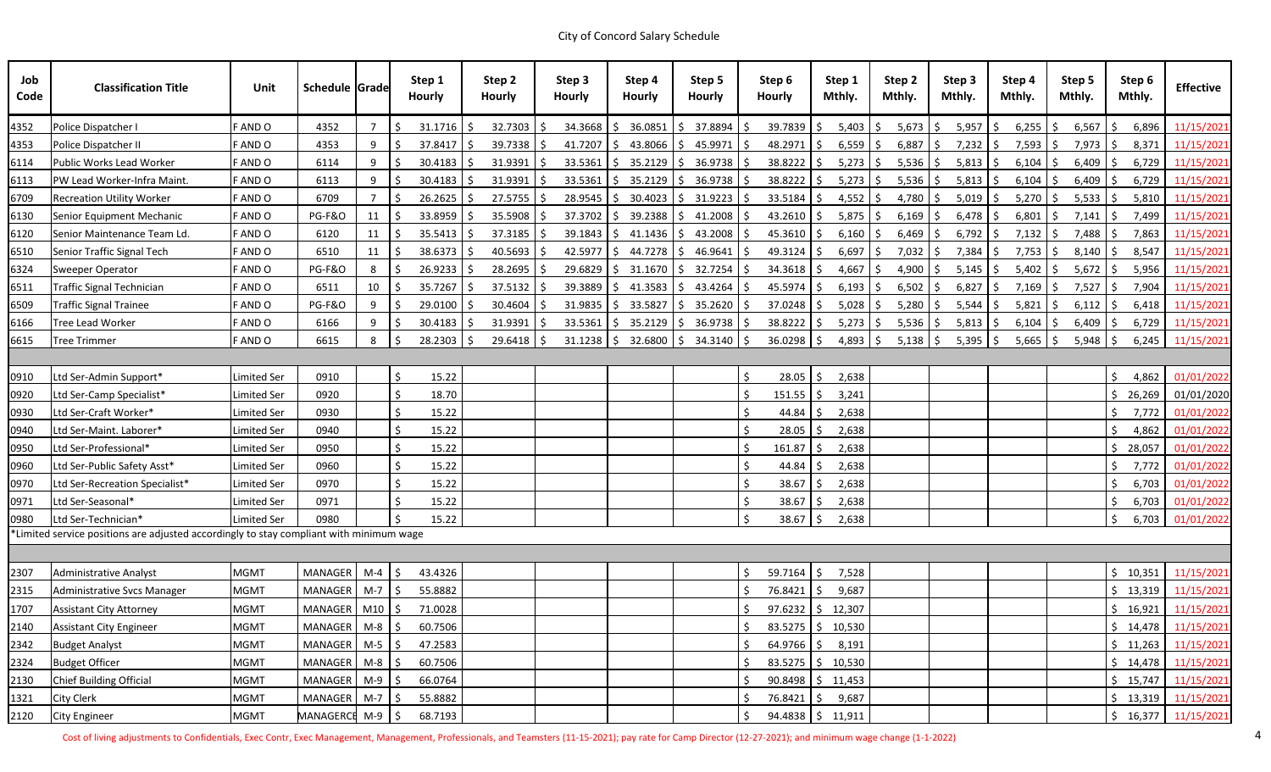| Job<br>Code | <b>Classification Title</b>                                                             | Unit               | Schedule Grade     |                | Step 1<br><b>Hourly</b>   |    | Step 2<br><b>Hourly</b> | Step 3<br><b>Hourly</b> |    | Step 4<br><b>Hourly</b> | Step 5<br><b>Hourly</b> |            | Step 6<br><b>Hourly</b> | Step 1<br>Mthly. |             | Step 2<br>Mthly. | Step 3<br>Mthly.  | Step 4<br>Mthly. |     | Step 5<br>Mthly. |    | Step 6<br>Mthly. | <b>Effective</b>       |
|-------------|-----------------------------------------------------------------------------------------|--------------------|--------------------|----------------|---------------------------|----|-------------------------|-------------------------|----|-------------------------|-------------------------|------------|-------------------------|------------------|-------------|------------------|-------------------|------------------|-----|------------------|----|------------------|------------------------|
| 4352        | Police Dispatcher I                                                                     | F AND O            | 4352               | $\overline{7}$ | 31.1716                   |    | 32.7303                 | 34.3668                 | S. | 36.0851                 | 37.8894<br>S.           |            | 39.7839                 | 5,403            | -S          | 5,673            | $5,957$ \$        | 6,255            |     | 6,567            |    | 6,896            | 11/15/2021             |
| 4353        | Police Dispatcher II                                                                    | F AND O            | 4353               | 9              | 37.8417                   |    | 39.7338                 | 41.7207                 | S. | 43.8066                 | Ŝ.<br>45.9971           |            | 48.2971                 | Ŝ.               | 6,559       | 6,887            | $7,232$ \$        | $7,593$ \$       |     | 7,973            |    | 8,371            | 11/15/2021             |
| 6114        | Public Works Lead Worker                                                                | F AND O            | 6114               | 9              | 30.4183                   | -S | 31.9391                 | 33.5361                 |    | \$35.2129               | S.<br>36.9738           | S.         | $38.8222$ \$            |                  | 5,273<br>S. | 5,536            | $5,813$ \$<br>l S | $6,104$ \$       |     | $6,409$ \$       |    | 6,729            | 11/15/2021             |
| 6113        | PW Lead Worker-Infra Maint.                                                             | F AND O            | 6113               | 9              | 30.4183                   |    | 31.9391                 | 33.5361                 | S. | 35.2129                 | 36.9738<br>S.           | -S         | 38.8222                 | 5,273            | -S          | 5,536            | $5,813$ \$        | 6,104            |     | 6,409            |    | 6,729            | 11/15/2021             |
| 6709        | <b>Recreation Utility Worker</b>                                                        | F AND O            | 6709               | $\overline{7}$ | 26.2625                   |    | 27.5755                 | 28.9545                 | S. | 30.4023                 | 31.9223<br>S.           |            | 33.5184                 | Ŝ.               | 4,552<br>S. | 4,780            | $5,019$ \$        | 5,270            | S.  | 5,533            | -S | 5,810            | 11/15/2021             |
| 6130        | Senior Equipment Mechanic                                                               | F AND O            | PG-F&O             | 11             | 33.8959                   | S. | 35.5908                 | 37.3702                 |    | \$39.2388               | \$41.2008               | S          | $43.2610$ \$            | 5,875            | S.          | 6,169            | $6,478$ \$        | $6,801$ \$       |     | 7,141            |    | 7,499            | 11/15/2021             |
| 6120        | Senior Maintenance Team Ld.                                                             | F AND O            | 6120               | 11             | 35.5413                   |    | 37.3185                 | 39.1843                 | S. | 41.1436                 | Ŝ.<br>43.2008           |            | 45.3610                 |                  | 6,160       | 6,469            | $6,792$ \$        | $7,132$ \$       |     | 7,488            |    | 7,863            | 11/15/2021             |
| 6510        | Senior Traffic Signal Tech                                                              | <b>FANDO</b>       | 6510               | 11             | $38.6373$ \$              |    | 40.5693                 | 42.5977                 |    | \$44.7278               | 46.9641<br>S.           | S          | $49.3124$ \$            |                  | 6,697<br>S. | 7,032            | $7,384$ \$<br>l S | $7,753$ \$       |     | 8,140            | S. | 8,547            | 11/15/2021             |
| 6324        | <b>Sweeper Operator</b>                                                                 | F AND O            | <b>PG-F&amp;O</b>  | 8              | 26.9233                   |    | 28.2695                 | 29.6829                 | S. | 31.1670                 | 32.7254<br>S.           | S          | $34.3618$ \$            | 4,667            | -S          | 4,900            | $5,145$ \$        | 5,402            | S.  | 5,672            |    | 5,956            | 11/15/2021             |
| 6511        | <b>Traffic Signal Technician</b>                                                        | F AND O            | 6511               | 10             | 35.7267                   |    | 37.5132                 | 39.3889                 | S. | 41.3583                 | 43.4264<br>S.           |            | 45.5974                 | 6,193            |             | 6,502            | $6,827$ \$        | $7,169$ \$       |     | 7,527            |    | 7,904            | 11/15/2021             |
| 6509        | <b>Traffic Signal Trainee</b>                                                           | F AND O            | PG-F&O             | 9              | 29.0100                   |    | 30.4604                 | 31.9835                 | S. | 33.5827                 | 35.2620<br>S.           | <b>S</b>   | 37.0248                 | S.<br>5,028      |             | 5,280            | $5,544$ \$        | 5,821            |     | 6,112            |    | 6,418            | 11/15/2021             |
| 6166        | Tree Lead Worker                                                                        | F AND O            | 6166               | 9              | 30.4183                   |    | 31.9391                 | 33.5361                 | S. | 35.2129                 | 36.9738<br>S.           | -S         | 38.8222                 | 5,273<br>S.      | S.          | 5,536            | $5,813$ \$        | 6,104            |     | 6,409            |    | 6,729            | 11/15/2021             |
| 6615        | <b>Tree Trimmer</b>                                                                     | F AND O            | 6615               | 8              | 28.2303                   |    | 29.6418                 | 31.1238                 |    | \$32.6800               | \$34.3140               | S.         | $36.0298$ \$            | 4,893            | S.          | 5,138            | $5,395$ \$<br>S   | 5,665            | l S | $5,948$ \$       |    | 6,245            | 11/15/2021             |
|             |                                                                                         |                    |                    |                |                           |    |                         |                         |    |                         |                         |            |                         |                  |             |                  |                   |                  |     |                  |    |                  |                        |
| 0910        | Ltd Ser-Admin Support*                                                                  | Limited Ser        | 0910               |                | Ś<br>15.22                |    |                         |                         |    |                         |                         | Ŝ.         | 28.05                   | Ś.<br>2,638      |             |                  |                   |                  |     |                  |    | 4,862            | 01/01/2022             |
| 0920        | Ltd Ser-Camp Specialist*                                                                | Limited Ser        | 0920               |                | 18.70                     |    |                         |                         |    |                         |                         |            | $151.55$ \$             | 3,241            |             |                  |                   |                  |     |                  |    | 26,269           | 01/01/2020             |
| 0930        | Ltd Ser-Craft Worker*                                                                   | <b>Limited Ser</b> | 0930               |                | 15.22                     |    |                         |                         |    |                         |                         |            | 44.84                   | 2,638            |             |                  |                   |                  |     |                  |    | 7,772            | 01/01/2022             |
| 0940        | Ltd Ser-Maint. Laborer*                                                                 | Limited Ser        | 0940               |                | 15.22                     |    |                         |                         |    |                         |                         |            | 28.05                   | 2,638<br>Ŝ.      |             |                  |                   |                  |     |                  |    | 4,862            | 01/01/2022             |
| 0950        | Ltd Ser-Professional*                                                                   | <b>Limited Ser</b> | 0950               |                | 15.22                     |    |                         |                         |    |                         |                         |            | 161.87                  | 2,638<br>Ŝ.      |             |                  |                   |                  |     |                  |    | 28,057           | 01/01/2022             |
| 0960        | Ltd Ser-Public Safety Asst*                                                             | <b>Limited Ser</b> | 0960               |                | 15.22                     |    |                         |                         |    |                         |                         |            | 44.84                   | 2,638            |             |                  |                   |                  |     |                  |    | 7,772            | 01/01/2022             |
| 0970        | Ltd Ser-Recreation Specialist*                                                          | <b>Limited Ser</b> | 0970               |                | 15.22                     |    |                         |                         |    |                         |                         |            | 38.67                   | 2,638<br>Ŝ.      |             |                  |                   |                  |     |                  |    | 6,703            | 01/01/2022             |
| 0971        | Ltd Ser-Seasonal*                                                                       | <b>Limited Ser</b> | 0971               |                | 15.22                     |    |                         |                         |    |                         |                         |            | 38.67                   | 2,638            |             |                  |                   |                  |     |                  |    | 6,703            | 01/01/2022             |
| 0980        | Ltd Ser-Technician*                                                                     | <b>Limited Ser</b> | 0980               |                | 15.22                     |    |                         |                         |    |                         |                         |            | 38.67                   | 2,638<br>\$      |             |                  |                   |                  |     |                  | S. | 6,703            | 01/01/2022             |
|             | *Limited service positions are adjusted accordingly to stay compliant with minimum wage |                    |                    |                |                           |    |                         |                         |    |                         |                         |            |                         |                  |             |                  |                   |                  |     |                  |    |                  |                        |
|             |                                                                                         |                    |                    |                |                           |    |                         |                         |    |                         |                         |            |                         |                  |             |                  |                   |                  |     |                  |    |                  |                        |
| 2307        | Administrative Analyst                                                                  | <b>MGMT</b>        | MANAGER   M-4   \$ |                | 43.4326                   |    |                         |                         |    |                         |                         | $\ddot{ }$ | 59.7164   \$7,528       |                  |             |                  |                   |                  |     |                  |    |                  | \$10,351   11/15/2021  |
| 2315        | Administrative Svcs Manager                                                             | <b>MGMT</b>        | MANAGER M-7        |                | \$<br>55.8882             |    |                         |                         |    |                         |                         |            | 76.8421 \$              | 9,687            |             |                  |                   |                  |     |                  |    |                  | $$13,319$ $11/15/2021$ |
| 1707        | <b>Assistant City Attorney</b>                                                          | <b>MGMT</b>        | MANAGER   M10 S    |                | 71.0028                   |    |                         |                         |    |                         |                         |            | $97.6232$ \$ 12,307     |                  |             |                  |                   |                  |     |                  |    |                  | $$16,921$ $11/15/2021$ |
| 2140        | <b>Assistant City Engineer</b>                                                          | <b>MGMT</b>        | <b>MANAGER</b>     | $M-8$          | 60.7506<br>-Ś             |    |                         |                         |    |                         |                         |            | $83.5275$ \$ 10,530     |                  |             |                  |                   |                  |     |                  |    |                  | $$14,478$ $11/15/2021$ |
| 2342        | <b>Budget Analyst</b>                                                                   | <b>MGMT</b>        | <b>MANAGER</b>     | $M-5$          | 5<br>47.2583              |    |                         |                         |    |                         |                         |            | $64.9766$ \$ 8,191      |                  |             |                  |                   |                  |     |                  |    |                  | $$11,263$ $11/15/2021$ |
| 2324        | <b>Budget Officer</b>                                                                   | <b>MGMT</b>        | <b>MANAGER</b>     | $M-8$          | 60.7506                   |    |                         |                         |    |                         |                         |            | 83.5275 \$10,530        |                  |             |                  |                   |                  |     |                  |    |                  | $$14,478$ $11/15/2021$ |
| 2130        | Chief Building Official                                                                 | <b>MGMT</b>        | MANAGER M-9        |                | ۱Ś.<br>66.0764            |    |                         |                         |    |                         |                         |            | $90.8498$ \$ 11,453     |                  |             |                  |                   |                  |     |                  |    |                  | $$15,747$ $11/15/2021$ |
| 1321        | <b>City Clerk</b>                                                                       | <b>MGMT</b>        | <b>MANAGER</b>     | $M-7$          | $\ddot{\circ}$<br>55.8882 |    |                         |                         |    |                         |                         |            | 76.8421 \$ 9,687        |                  |             |                  |                   |                  |     |                  |    |                  | $$13,319$ $11/15/2021$ |
| 2120        | <b>City Engineer</b>                                                                    | <b>MGMT</b>        | MANAGERCE M-9 \$   |                | 68.7193                   |    |                         |                         |    |                         |                         | S.         | $94.4838$ \$ 11,911     |                  |             |                  |                   |                  |     |                  |    |                  | $$16,377$ $11/15/2021$ |

Cost of living adjustments to Confidentials, Exec Contr, Exec Management, Management, Professionals, and Teamsters (11-15-2021); pay rate for Camp Director (12-27-2021); and minimum wage change (1-1-2022) 44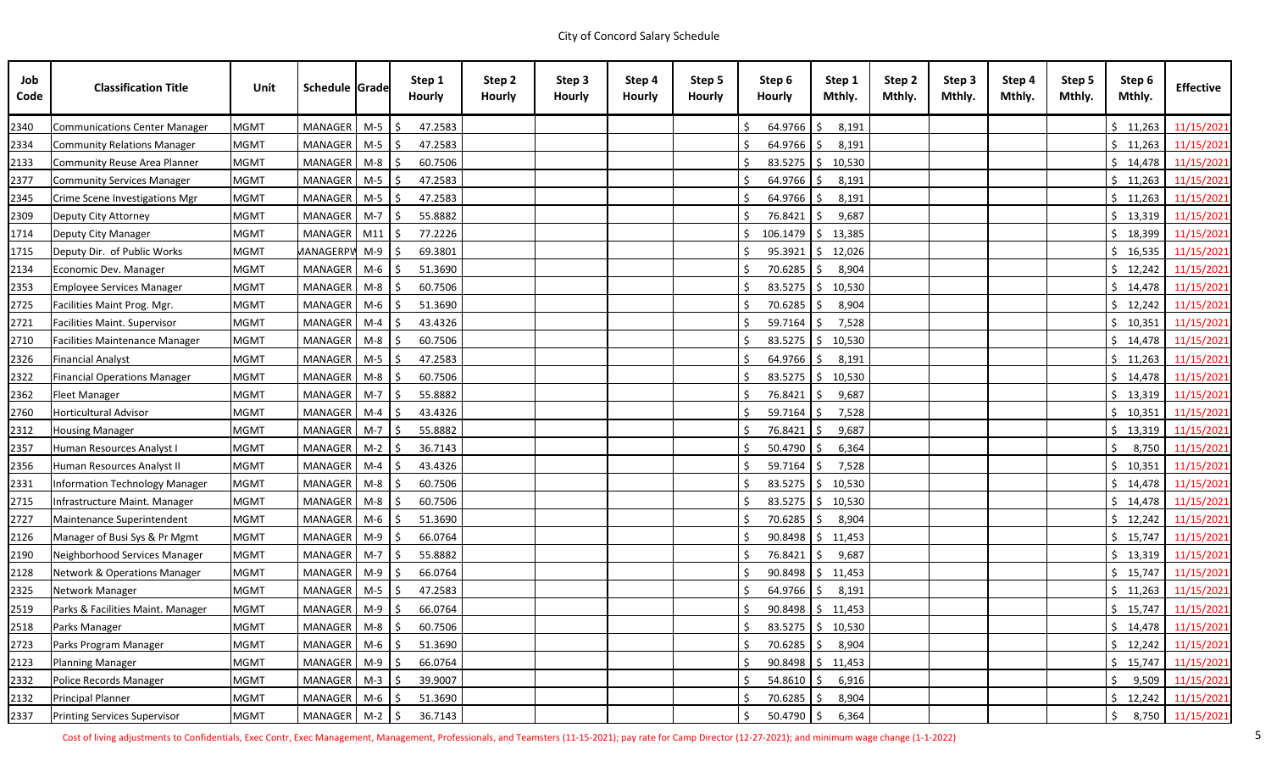| Job<br>Code | <b>Classification Title</b>           | Unit        | Schedule Grade   |       | Step 1<br><b>Hourly</b> | Step 2<br><b>Hourly</b> | Step 3<br><b>Hourly</b> | Step 4<br><b>Hourly</b> | Step 5<br><b>Hourly</b> | Step 6<br><b>Hourly</b> | Step 1<br>Mthly.               | Step 2<br>Mthly. | Step 3<br>Mthly. | Step 4<br>Mthly. | Step 5<br>Mthly. | Step 6<br>Mthly. | <b>Effective</b>                |
|-------------|---------------------------------------|-------------|------------------|-------|-------------------------|-------------------------|-------------------------|-------------------------|-------------------------|-------------------------|--------------------------------|------------------|------------------|------------------|------------------|------------------|---------------------------------|
| 2340        | Communications Center Manager         | <b>MGMT</b> | MANAGER          | $M-5$ | 47.2583                 |                         |                         |                         |                         | 64.9766                 | 8,191                          |                  |                  |                  |                  | \$11,263         | 11/15/2021                      |
| 2334        | Community Relations Manager           | <b>MGMT</b> | <b>MANAGER</b>   | $M-5$ | 47.2583                 |                         |                         |                         |                         | $64.9766$ \$            | 8,191                          |                  |                  |                  |                  | \$11,263         | 11/15/2021                      |
| 2133        | Community Reuse Area Planner          | <b>MGMT</b> | MANAGER          | $M-8$ | 60.7506                 |                         |                         |                         |                         | $83.5275$ \$            | 10,530                         |                  |                  |                  |                  | \$14,478         | 11/15/2021                      |
| 2377        | Community Services Manager            | <b>MGMT</b> | MANAGER          | $M-5$ | 47.2583                 |                         |                         |                         |                         | $64.9766$ \$            | 8,191                          |                  |                  |                  |                  | \$11,263         | 11/15/2021                      |
| 2345        | Crime Scene Investigations Mgr        | <b>MGMT</b> | MANAGER          | $M-5$ | 47.2583                 |                         |                         |                         |                         | $64.9766$ \$            | 8,191                          |                  |                  |                  |                  | \$11,263         | 11/15/2021                      |
| 2309        | Deputy City Attorney                  | <b>MGMT</b> | MANAGER          | $M-7$ | 55.8882<br>-S           |                         |                         |                         |                         | $76.8421$ \$            | 9,687                          |                  |                  |                  |                  | \$13,319         | 11/15/2021                      |
| 1714        | Deputy City Manager                   | <b>MGMT</b> | MANAGER          | M11   | 77.2226                 |                         |                         |                         |                         |                         | $106.1479$ \$ 13,385           |                  |                  |                  |                  | \$18,399         | 11/15/2021                      |
| 1715        | Deputy Dir. of Public Works           | <b>MGMT</b> | <b>MANAGERPV</b> | $M-9$ | 69.3801                 |                         |                         |                         |                         |                         | $95.3921$ \$ 12,026            |                  |                  |                  |                  | \$16,535         | 11/15/2021                      |
| 2134        | Economic Dev. Manager                 | <b>MGMT</b> | MANAGER          | $M-6$ | 51.3690                 |                         |                         |                         |                         | $70.6285$ \$            | 8,904                          |                  |                  |                  |                  | \$12,242         | 11/15/2021                      |
| 2353        | Employee Services Manager             | <b>MGMT</b> | MANAGER          | $M-8$ | 60.7506                 |                         |                         |                         |                         | $83.5275$ \$            | 10,530                         |                  |                  |                  |                  | \$14,478         | 11/15/2021                      |
| 2725        | Facilities Maint Prog. Mgr.           | <b>MGMT</b> | MANAGER          | $M-6$ | 51.3690<br>-Ś           |                         |                         |                         |                         | $70.6285$ \$            | 8,904                          |                  |                  |                  |                  | \$12,242         | 11/15/2021                      |
| 2721        | Facilities Maint. Supervisor          | <b>MGMT</b> | <b>MANAGER</b>   | $M-4$ | 43.4326                 |                         |                         |                         |                         | $59.7164$ \$            | 7,528                          |                  |                  |                  |                  | \$10,351         | 11/15/2021                      |
| 2710        | <b>Facilities Maintenance Manager</b> | <b>MGMT</b> | MANAGER          | $M-8$ | 60.7506                 |                         |                         |                         |                         | $83.5275$ \$            | 10,530                         |                  |                  |                  |                  | \$14,478         | 11/15/2021                      |
| 2326        | <b>Financial Analyst</b>              | <b>MGMT</b> | MANAGER          | $M-5$ | 47.2583                 |                         |                         |                         |                         | $64.9766$ \$            | 8,191                          |                  |                  |                  |                  | \$11,263         | 11/15/2021                      |
| 2322        | <b>Financial Operations Manager</b>   | <b>MGMT</b> | <b>MANAGER</b>   | $M-8$ | 60.7506                 |                         |                         |                         |                         | $83.5275$ $\frac{1}{2}$ | 10,530                         |                  |                  |                  |                  | \$14,478         | 11/15/2021                      |
| 2362        | Fleet Manager                         | <b>MGMT</b> | MANAGER          | $M-7$ | -Ś<br>55.8882           |                         |                         |                         |                         | $76.8421$ \$            | 9,687                          |                  |                  |                  |                  | \$13,319         | 11/15/2021                      |
| 2760        | <b>Horticultural Advisor</b>          | <b>MGMT</b> | MANAGER          | $M-4$ | 43.4326                 |                         |                         |                         |                         | $59.7164$ \$            | 7,528                          |                  |                  |                  |                  | \$10,351         | 11/15/2021                      |
| 2312        | <b>Housing Manager</b>                | <b>MGMT</b> | MANAGER          | $M-7$ | 55.8882                 |                         |                         |                         |                         | $76.8421$ \$            | 9,687                          |                  |                  |                  |                  | 13,319           | 11/15/2021                      |
| 2357        | Human Resources Analyst I             | <b>MGMT</b> | <b>MANAGER</b>   | $M-2$ | 36.7143<br>\$           |                         |                         |                         |                         | $50.4790$ \$            | 6,364                          |                  |                  |                  |                  | 8,750            | 11/15/2021                      |
| 2356        | Human Resources Analyst II            | <b>MGMT</b> | MANAGER          | $M-4$ | 43.4326                 |                         |                         |                         |                         | $59.7164$ \$            | 7,528                          |                  |                  |                  |                  | S.<br>10,351     | 11/15/2021                      |
| 2331        | Information Technology Manager        | <b>MGMT</b> | MANAGER          | $M-8$ | 60.7506                 |                         |                         |                         |                         | $83.5275$ \$            | 10,530                         |                  |                  |                  |                  | \$14,478         | 11/15/2021                      |
| 2715        | Infrastructure Maint. Manager         | <b>MGMT</b> | MANAGER          | $M-8$ | 60.7506                 |                         |                         |                         |                         | $83.5275$ \$            | 10,530                         |                  |                  |                  |                  | \$14,478         | 11/15/2021                      |
| 2727        | Maintenance Superintendent            | <b>MGMT</b> | MANAGER          | M-6   | 51.3690                 |                         |                         |                         |                         | $70.6285$ \$            | 8,904                          |                  |                  |                  |                  | \$12,242         | 11/15/2021                      |
| 2126        | Manager of Busi Sys & Pr Mgmt         | <b>MGMT</b> | MANAGER          | M-9   | 66.0764<br>-Ś           |                         |                         |                         |                         |                         | $90.8498$ $\frac{1}{5}$ 11,453 |                  |                  |                  |                  | \$15,747         | 11/15/2021                      |
| 2190        | Neighborhood Services Manager         | <b>MGMT</b> | MANAGER          | $M-7$ | 55.8882<br>-\$          |                         |                         |                         |                         | $76.8421$ \$            | 9,687                          |                  |                  |                  |                  | \$13,319         | 11/15/2021                      |
| 2128        | Network & Operations Manager          | <b>MGMT</b> | MANAGER M-9 \$   |       | 66.0764                 |                         |                         |                         |                         |                         | 90.8498 \$ 11,453              |                  |                  |                  |                  |                  | $\frac{1}{2}$ 15,747 11/15/2021 |
| 2325        | Network Manager                       | <b>MGMT</b> | MANAGER M-5 \$   |       | 47.2583                 |                         |                         |                         |                         |                         | $64.9766$ \$ 8,191             |                  |                  |                  |                  | \$11,263         | 11/15/2021                      |
| 2519        | Parks & Facilities Maint. Manager     | <b>MGMT</b> | MANAGER M-9      |       | 66.0764<br>-Ś           |                         |                         |                         |                         |                         | 90.8498 \$ 11,453              |                  |                  |                  |                  |                  | $$15,747$ $11/15/2021$          |
| 2518        | Parks Manager                         | <b>MGMT</b> | MANAGER M-8      |       | -Ś<br>60.7506           |                         |                         |                         |                         |                         | 83.5275 \$10,530               |                  |                  |                  |                  |                  | $$14,478$ $11/15/2021$          |
| 2723        | Parks Program Manager                 | <b>MGMT</b> | <b>MANAGER</b>   | $M-6$ | 51.3690<br>-\$          |                         |                         |                         |                         | $70.6285$ \$            | 8,904                          |                  |                  |                  |                  | \$12,242         | 11/15/2021                      |
| 2123        | <b>Planning Manager</b>               | <b>MGMT</b> | <b>MANAGER</b>   | $M-9$ | 66.0764                 |                         |                         |                         |                         |                         | $90.8498$ \$ 11,453            |                  |                  |                  |                  | \$15,747         | 11/15/2021                      |
| 2332        | Police Records Manager                | <b>MGMT</b> | <b>MANAGER</b>   | $M-3$ | 5<br>39.9007            |                         |                         |                         |                         | $54.8610$ \$            | 6,916                          |                  |                  |                  |                  |                  | 9,509 11/15/2021                |
| 2132        | <b>Principal Planner</b>              | <b>MGMT</b> | <b>MANAGER</b>   | $M-6$ | -\$<br>51.3690          |                         |                         |                         |                         | 70.6285 \$              | 8,904                          |                  |                  |                  |                  | \$12,242         | 11/15/2021                      |
| 2337        | <b>Printing Services Supervisor</b>   | <b>MGMT</b> | MANAGER          | $M-2$ | 5<br>36.7143            |                         |                         |                         |                         | $50.4790$ \$            | 6,364                          |                  |                  |                  |                  | \$               | 8,750 11/15/2021                |

Cost of living adjustments to Confidentials, Exec Contr, Exec Management, Management, Professionals, and Teamsters (11-15-2021); pay rate for Camp Director (12-27-2021); and minimum wage change (1-1-2022) 5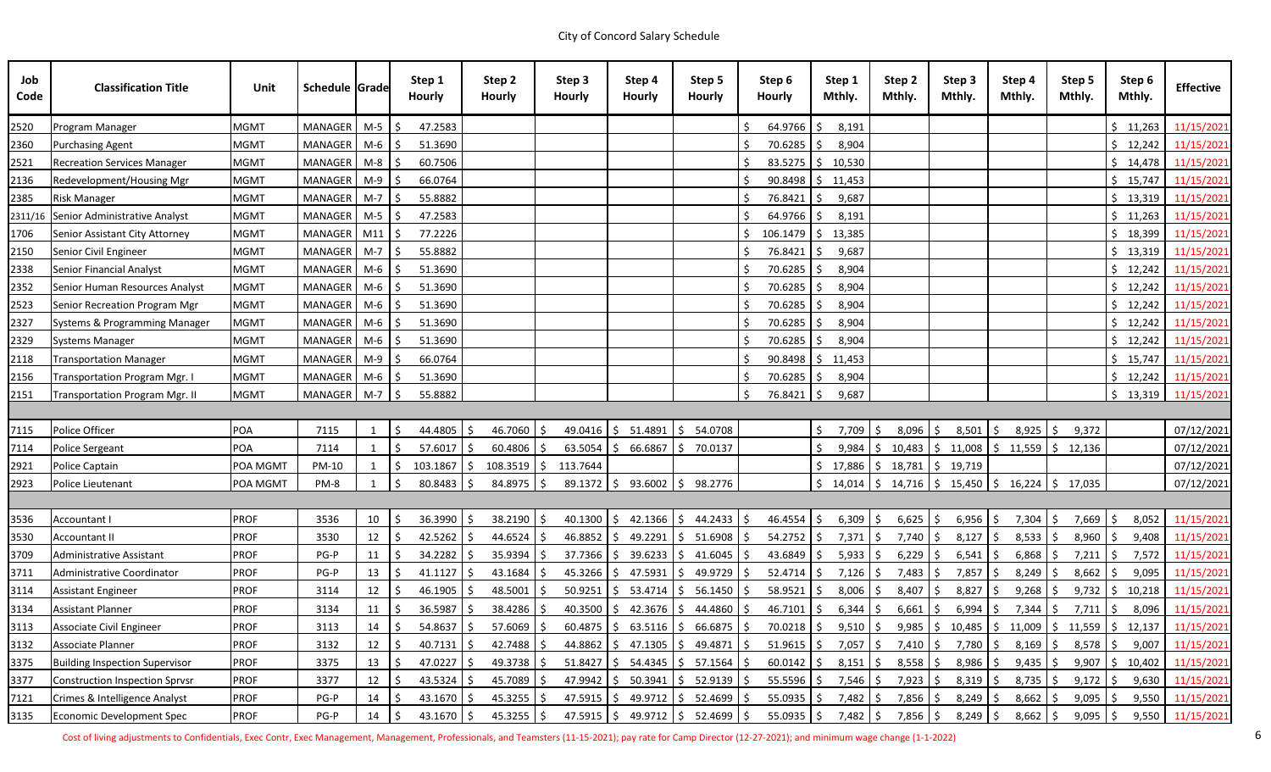| Job<br>Code | <b>Classification Title</b>           | Unit        | Schedule Grade |       | Step 1<br><b>Hourly</b>       |    | Step 2<br><b>Hourly</b> | Step 3<br><b>Hourly</b> |              | Step 4<br><b>Hourly</b> | Step 5<br><b>Hourly</b>                                                                        |              | Step 6<br><b>Hourly</b> | Step 1<br>Mthly.               |     | Step 2<br>Mthly. | Step 3<br>Mthly.                                                                                         | Step 4<br>Mthly. | Step 5<br>Mthly. |            | Step 6<br>Mthly.                                   | <b>Effective</b> |
|-------------|---------------------------------------|-------------|----------------|-------|-------------------------------|----|-------------------------|-------------------------|--------------|-------------------------|------------------------------------------------------------------------------------------------|--------------|-------------------------|--------------------------------|-----|------------------|----------------------------------------------------------------------------------------------------------|------------------|------------------|------------|----------------------------------------------------|------------------|
| 2520        | Program Manager                       | <b>MGMT</b> | MANAGER        | $M-5$ | 47.2583                       |    |                         |                         |              |                         |                                                                                                |              | 64.9766                 | 8,191                          |     |                  |                                                                                                          |                  |                  |            | \$11,263                                           | 11/15/2021       |
| 2360        | <b>Purchasing Agent</b>               | <b>MGMT</b> | MANAGER        | M-6   | 51.3690                       |    |                         |                         |              |                         |                                                                                                |              | $70.6285$ \$            | 8,904                          |     |                  |                                                                                                          |                  |                  |            | \$12,242                                           | 11/15/2021       |
| 2521        | <b>Recreation Services Manager</b>    | <b>MGMT</b> | MANAGER        | M-8   | 60.7506                       |    |                         |                         |              |                         |                                                                                                |              |                         | $83.5275$ $\frac{1}{5}$ 10,530 |     |                  |                                                                                                          |                  |                  |            | \$14,478                                           | 11/15/2021       |
| 2136        | Redevelopment/Housing Mgr             | <b>MGMT</b> | MANAGER        | M-9   | 66.0764                       |    |                         |                         |              |                         |                                                                                                |              |                         | $90.8498$ \$ 11,453            |     |                  |                                                                                                          |                  |                  |            | \$15,747                                           | 11/15/2021       |
| 2385        | <b>Risk Manager</b>                   | <b>MGMT</b> | MANAGER        | $M-7$ | 55.8882                       |    |                         |                         |              |                         |                                                                                                |              | $76.8421$ \$            | 9,687                          |     |                  |                                                                                                          |                  |                  |            | \$13,319                                           | 11/15/2021       |
|             | 2311/16 Senior Administrative Analyst | <b>MGMT</b> | <b>MANAGER</b> | $M-5$ | 47.2583<br>-S                 |    |                         |                         |              |                         |                                                                                                |              | $64.9766$ \$            | 8,191                          |     |                  |                                                                                                          |                  |                  |            | \$11,263                                           | 11/15/2021       |
| 1706        | Senior Assistant City Attorney        | <b>MGMT</b> | MANAGER        | M11   | 77.2226                       |    |                         |                         |              |                         |                                                                                                |              |                         | $106.1479$ \$ 13,385           |     |                  |                                                                                                          |                  |                  |            | \$18,399                                           | 11/15/2021       |
| 2150        | Senior Civil Engineer                 | <b>MGMT</b> | MANAGER        | $M-7$ | 55.8882<br>-Ś                 |    |                         |                         |              |                         |                                                                                                |              | $76.8421$ \$            | 9,687                          |     |                  |                                                                                                          |                  |                  |            | \$13,319                                           | 11/15/2021       |
| 2338        | Senior Financial Analyst              | <b>MGMT</b> | MANAGER        | $M-6$ | 51.3690                       |    |                         |                         |              |                         |                                                                                                |              | 70.6285                 | 8,904<br>S.                    |     |                  |                                                                                                          |                  |                  |            | \$12,242                                           | 11/15/2021       |
| 2352        | Senior Human Resources Analyst        | <b>MGMT</b> | MANAGER        | M-6   | 51.3690                       |    |                         |                         |              |                         |                                                                                                |              | $70.6285$ \$            | 8,904                          |     |                  |                                                                                                          |                  |                  |            | \$12,242                                           | 11/15/2021       |
| 2523        | Senior Recreation Program Mgr         | <b>MGMT</b> | MANAGER        | M-6   | 51.3690                       |    |                         |                         |              |                         |                                                                                                |              | $70.6285$ \$            | 8,904                          |     |                  |                                                                                                          |                  |                  |            | \$12,242                                           | 11/15/2021       |
| 2327        | Systems & Programming Manager         | <b>MGMT</b> | MANAGER        | M-6   | 51.3690                       |    |                         |                         |              |                         |                                                                                                |              | 70.6285                 | Ŝ.<br>8,904                    |     |                  |                                                                                                          |                  |                  |            | \$12,242                                           | 11/15/2021       |
| 2329        | <b>Systems Manager</b>                | <b>MGMT</b> | MANAGER        | M-6   | 51.3690                       |    |                         |                         |              |                         |                                                                                                |              | $70.6285$ \$            | 8,904                          |     |                  |                                                                                                          |                  |                  |            | \$12,242                                           | 11/15/2021       |
| 2118        | <b>Transportation Manager</b>         | <b>MGMT</b> | MANAGER        | $M-9$ | 66.0764                       |    |                         |                         |              |                         |                                                                                                |              |                         | $90.8498$ \$ 11,453            |     |                  |                                                                                                          |                  |                  |            | \$15,747                                           | 11/15/2021       |
| 2156        | Transportation Program Mgr. I         | <b>MGMT</b> | MANAGER        | M-6   | 51.3690                       |    |                         |                         |              |                         |                                                                                                |              | $70.6285$ \$            | 8,904                          |     |                  |                                                                                                          |                  |                  |            | \$12,242                                           | 11/15/2021       |
| 2151        | Transportation Program Mgr. II        | <b>MGMT</b> | MANAGER        | $M-7$ | 55.8882<br>-Ś                 |    |                         |                         |              |                         |                                                                                                |              | 76.8421                 | 9,687<br>Ŝ.                    |     |                  |                                                                                                          |                  |                  |            | \$13,319                                           | 11/15/2021       |
|             |                                       |             |                |       |                               |    |                         |                         |              |                         |                                                                                                |              |                         |                                |     |                  |                                                                                                          |                  |                  |            |                                                    |                  |
| 7115        | Police Officer                        | <b>POA</b>  | 7115           |       | 44.4805                       | -S | 46.7060                 | -S                      | 49.0416      | 5 51.4891               | \$54.0708                                                                                      |              |                         | S.<br>7,709                    | \$  | 8,096            | $8,501$ \$<br>I\$                                                                                        | 8,925   \$       | 9,372            |            |                                                    | 07/12/2021       |
| 7114        | <b>Police Sergeant</b>                | POA         | 7114           |       | 57.6017                       |    | 60.4806                 |                         |              | $63.5054$   \$ 66.6867  | 70.0137<br>S.                                                                                  |              |                         | 9,984                          |     |                  | $\frac{1}{2}$ 10,483 $\frac{1}{2}$ 11,008 $\frac{1}{2}$ 11,559 $\frac{1}{2}$ 12,136                      |                  |                  |            |                                                    | 07/12/2021       |
| 2921        | Police Captain                        | POA MGMT    | PM-10          | 1     | 103.1867                      |    | 108.3519                | 113.7644<br>S.          |              |                         |                                                                                                |              |                         |                                |     |                  | $$17,886$ $$18,781$ $$19,719$                                                                            |                  |                  |            |                                                    | 07/12/2021       |
| 2923        | Police Lieutenant                     | POA MGMT    | PM-8           |       | 80.8483                       |    | 84.8975 \$              |                         |              |                         | $89.1372$ \$ 93.6002 \$ 98.2776                                                                |              |                         |                                |     |                  | $\frac{1}{2}$ 14,014 $\frac{1}{2}$ 14,716 $\frac{1}{2}$ 15,450 $\frac{1}{2}$ 16,224 $\frac{1}{2}$ 17,035 |                  |                  |            |                                                    | 07/12/2021       |
|             |                                       |             |                |       |                               |    |                         |                         |              |                         |                                                                                                |              |                         |                                |     |                  |                                                                                                          |                  |                  |            |                                                    |                  |
| 3536        | Accountant I                          | <b>PROF</b> | 3536           | 10    | 36.3990                       |    | 38.2190                 |                         | $40.1300$ \$ | $42.1366$ \$            | 44.2433                                                                                        | S.           | $46.4554$ \$            | 6,309                          | S.  | $6,625$ \$       | $6,956$ \$                                                                                               | $7,304$ \$       |                  | 7,669   \$ | 8,052                                              | 11/15/2021       |
| 3530        | <b>Accountant II</b>                  | <b>PROF</b> | 3530           | 12    | 42.5262                       |    | $44.6524$ \$            |                         |              |                         | 46.8852   \$49.2291   \$51.6908                                                                | $\mathsf{S}$ | $54.2752$ \$            | 7,371                          | \$  | 7,740   \$       | $8,127$ \$                                                                                               | $8,533$ \$       | 8,960 S          |            | 9,408                                              | 11/15/2021       |
| 3709        | Administrative Assistant              | <b>PROF</b> | $PG-P$         | 11    | 34.2282                       | S. | 35.9394                 |                         |              |                         | $37.7366$ \$ 39.6233 \$ 41.6045                                                                | \$.          | 43.6849 \$              | 5,933                          | -\$ | $6,229$ \$       | $6,541$ \$                                                                                               | $6,868$ \$       |                  | $7,211$ \$ | 7,572                                              | 11/15/2021       |
| 3711        | Administrative Coordinator            | <b>PROF</b> | $PG-P$         | 13    | $\frac{1}{2}$<br>$41.1127$ \$ |    | $43.1684$ \$            |                         |              |                         | 45.3266 \$ 47.5931 \$ 49.9729 \$ 52.4714 \$ 7,126 \$ 7,483 \$ 7,857 \$ 8,249 \$ 8,662 \$ 9,095 |              |                         |                                |     |                  |                                                                                                          |                  |                  |            |                                                    | 11/15/2021       |
| 3114        | <b>Assistant Engineer</b>             | <b>PROF</b> | 3114           | 12    | 46.1905                       |    | $48.5001$ \$            |                         |              |                         | $50.9251$ $\binom{5}{7}$ 53.4714 $\binom{6}{7}$ 56.1450                                        | \$.          | $58.9521$ \$            | $8,006$ \$                     |     | $8,407$ \$       | $8,827$ \$                                                                                               | $9,268$ \$       |                  |            | $9,732$ \$ 10,218                                  | 11/15/2021       |
| 3134        | <b>Assistant Planner</b>              | <b>PROF</b> | 3134           | 11    | 36.5987                       | S. | 38.4286 \$              |                         |              |                         | $40.3500$   \$ 42.3676   \$ 44.4860   \$                                                       |              | $46.7101$ \$            | $6,344$ \$                     |     | $6,661$ \$       | $6,994$ \$                                                                                               | 7,344   \$       | 7,711   \$       |            | 8,096                                              | 11/15/2021       |
| 3113        | Associate Civil Engineer              | <b>PROF</b> | 3113           | 14    | 54.8637                       | -S | $57.6069$ \$            |                         |              |                         | $60.4875$ $\binom{2}{5}$ 63.5116 $\binom{5}{5}$ 66.6875                                        | S.           | $70.0218$ \$            | $9,510$ \$                     |     | $9,985$ \$       |                                                                                                          |                  |                  |            | $10,485$   \$ $11,009$   \$ $11,559$   \$ $12,137$ | 11/15/2021       |
| 3132        | Associate Planner                     | <b>PROF</b> | 3132           | 12    | 40.7131                       |    | $42.7488$ \$            |                         |              |                         | 44.8862   \$47.1305   \$49.4871                                                                | S.           | $51.9615$ \$            | 7,057                          | -S  | 7,410            | 7,780   \$<br>l S                                                                                        | $8,169$ \$       |                  | $8,578$ \$ | 9,007                                              | 11/15/2021       |
| 3375        | <b>Building Inspection Supervisor</b> | <b>PROF</b> | 3375           | 13    | 47.0227                       |    | $49.3738$ \$            |                         |              |                         | $51.8427$   \$ $54.4345$   \$ $57.1564$                                                        |              | $60.0142$ \$            | 8,151                          | S.  | $8,558$ \$       | $8,986$ \$                                                                                               | $9,435$ \$       |                  | 9,907 \$   | 10,402                                             | 11/15/2021       |
| 3377        | <b>Construction Inspection Sprvsr</b> | <b>PROF</b> | 3377           | 12    | 43.5324                       |    | 45.7089 \$              |                         |              |                         | $47.9942$   \$ 50.3941   \$ 52.9139                                                            | S            | $55.5596$ \$            | $7,546$ \$                     |     | $7,923$ \$       | $8,319$ \$                                                                                               | $8,735$ \$       |                  | $9,172$ \$ | 9,630                                              | 11/15/2021       |
| 7121        | Crimes & Intelligence Analyst         | <b>PROF</b> | PG-P           | 14    | $43.1670$ \$                  |    | $45.3255$ \$            |                         |              |                         | $47.5915$   \$ $49.9712$   \$ 52.4699                                                          | -S           | $55.0935$ \$            | 7,482   \$                     |     | $7,856$   \$     | $8,249$ \$                                                                                               | $8,662$ \$       |                  | $9,095$ \$ | 9,550                                              | 11/15/2021       |
| 3135        | Economic Development Spec             | <b>PROF</b> | $PG-P$         | 14    | 43.1670                       | S. | $45.3255$ \$            |                         |              |                         | $47.5915$   \$ $49.9712$   \$ 52.4699                                                          | S.           | $55.0935$ \$            | 7,482 \$                       |     | 7,856 \$         | $8,249$   \$                                                                                             | $8,662$ \$       |                  | $9,095$ \$ | 9,550                                              | 11/15/2021       |

Cost of living adjustments to Confidentials, Exec Contr, Exec Management, Management, Professionals, and Teamsters (11-15-2021); pay rate for Camp Director (12-27-2021); and minimum wage change (1-1-2022) 6